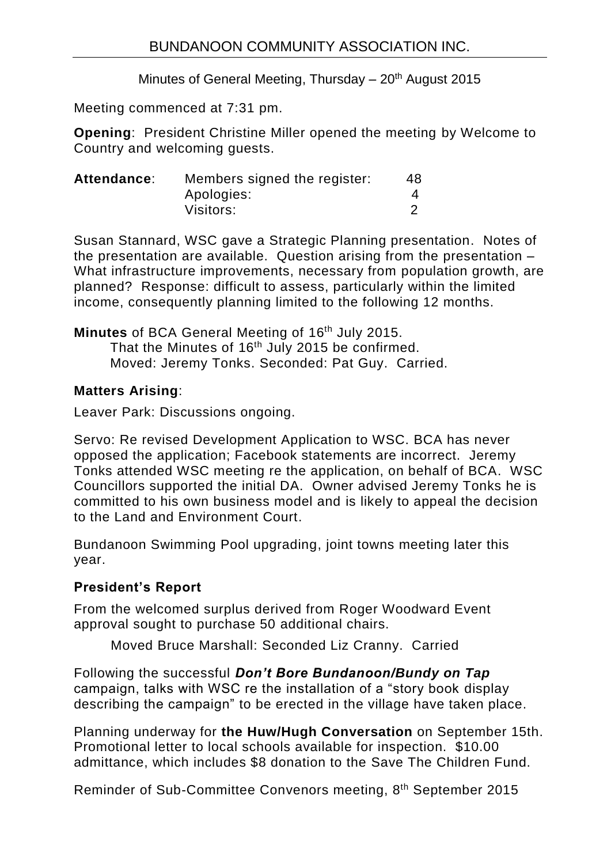Minutes of General Meeting, Thursday  $-20<sup>th</sup>$  August 2015

Meeting commenced at 7:31 pm.

**Opening**: President Christine Miller opened the meeting by Welcome to Country and welcoming guests.

| Attendance: | Members signed the register: | 48 |
|-------------|------------------------------|----|
|             | Apologies:                   |    |
|             | Visitors:                    |    |

Susan Stannard, WSC gave a Strategic Planning presentation. Notes of the presentation are available. Question arising from the presentation – What infrastructure improvements, necessary from population growth, are planned? Response: difficult to assess, particularly within the limited income, consequently planning limited to the following 12 months.

**Minutes** of BCA General Meeting of 16<sup>th</sup> July 2015.

That the Minutes of 16<sup>th</sup> July 2015 be confirmed. Moved: Jeremy Tonks. Seconded: Pat Guy. Carried.

# **Matters Arising**:

Leaver Park: Discussions ongoing.

Servo: Re revised Development Application to WSC. BCA has never opposed the application; Facebook statements are incorrect. Jeremy Tonks attended WSC meeting re the application, on behalf of BCA. WSC Councillors supported the initial DA. Owner advised Jeremy Tonks he is committed to his own business model and is likely to appeal the decision to the Land and Environment Court.

Bundanoon Swimming Pool upgrading, joint towns meeting later this year.

## **President's Report**

From the welcomed surplus derived from Roger Woodward Event approval sought to purchase 50 additional chairs.

Moved Bruce Marshall: Seconded Liz Cranny. Carried

Following the successful *Don't Bore Bundanoon/Bundy on Tap* campaign, talks with WSC re the installation of a "story book display describing the campaign" to be erected in the village have taken place.

Planning underway for **the Huw/Hugh Conversation** on September 15th. Promotional letter to local schools available for inspection. \$10.00 admittance, which includes \$8 donation to the Save The Children Fund.

Reminder of Sub-Committee Convenors meeting, 8<sup>th</sup> September 2015